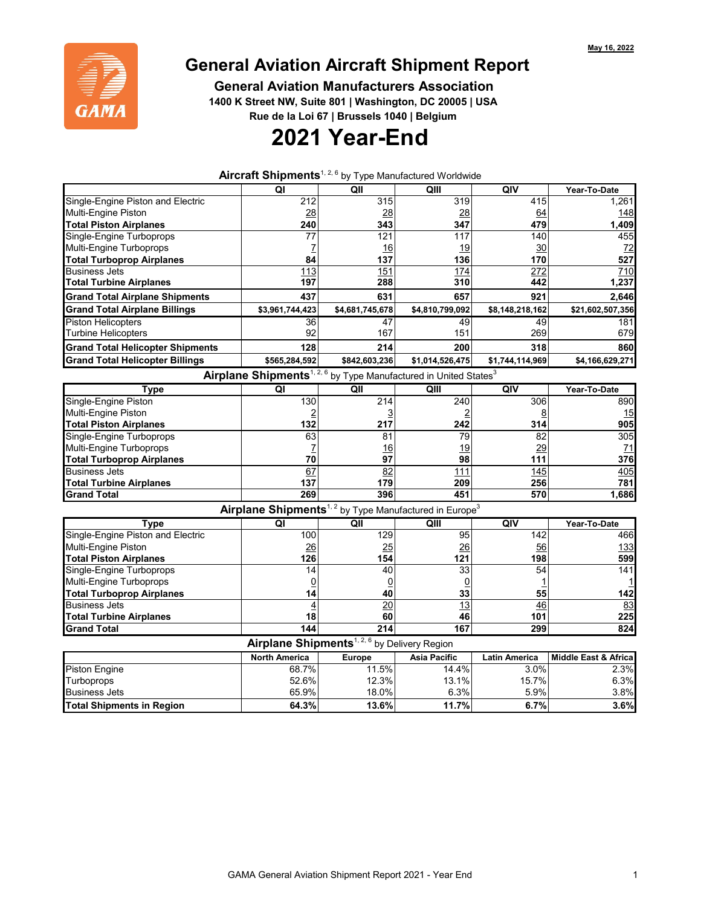

## **General Aviation Aircraft Shipment Report**

 **General Aviation Manufacturers Association**

 **1400 K Street NW, Suite 801 | Washington, DC 20005 | USA**

 **Rue de la Loi 67 | Brussels 1040 | Belgium**

## **2021 Year-End**

**Aircraft Shipments**1, 2, 6 by Type Manufactured Worldwide

|                                         | QI                   | QII                                                                                      | QIII                | QIV                  | Year-To-Date                    |
|-----------------------------------------|----------------------|------------------------------------------------------------------------------------------|---------------------|----------------------|---------------------------------|
| Single-Engine Piston and Electric       | 212                  | 315                                                                                      | 319                 | 415                  | 1,261                           |
| <b>Multi-Engine Piston</b>              | 28                   | 28                                                                                       | 28                  | 64                   | 148                             |
| <b>Total Piston Airplanes</b>           | 240                  | 343                                                                                      | 347                 | 479                  | 1,409                           |
| Single-Engine Turboprops                | 77                   | 121                                                                                      | 117                 | 140                  | 455                             |
| Multi-Engine Turboprops                 | 7                    | 16                                                                                       | 19                  | 30                   | 72                              |
| <b>Total Turboprop Airplanes</b>        | 84                   | 137                                                                                      | 136                 | 170                  | 527                             |
| <b>Business Jets</b>                    | 113                  | 151                                                                                      | 174                 | 272                  | 710                             |
| <b>Total Turbine Airplanes</b>          | 197                  | 288                                                                                      | 310                 | 442                  | 1,237                           |
| <b>Grand Total Airplane Shipments</b>   | 437                  | 631                                                                                      | 657                 | 921                  | 2,646                           |
| <b>Grand Total Airplane Billings</b>    | \$3,961,744,423      | \$4,681,745,678                                                                          | \$4,810,799,092     | \$8,148,218,162      | \$21,602,507,356                |
| <b>Piston Helicopters</b>               | 36                   | 47                                                                                       | 49                  | 49                   | 181                             |
| <b>Turbine Helicopters</b>              | 92                   | 167                                                                                      | 151                 | 269                  | 679                             |
| <b>Grand Total Helicopter Shipments</b> | 128                  | 214                                                                                      | 200                 | 318                  | 860                             |
| <b>Grand Total Helicopter Billings</b>  | \$565,284,592        | \$842,603,236                                                                            | \$1,014,526,475     | \$1,744,114,969      | \$4,166,629,271                 |
|                                         |                      | Airplane Shipments <sup>1, 2, 6</sup> by Type Manufactured in United States <sup>3</sup> |                     |                      |                                 |
| Type                                    | QI                   | QII                                                                                      | QIII                | QIV                  | Year-To-Date                    |
| Single-Engine Piston                    | 130                  | 214                                                                                      | 240                 | 306                  | 890                             |
| Multi-Engine Piston                     |                      |                                                                                          |                     | 8                    | 15                              |
| <b>Total Piston Airplanes</b>           | 132                  | 217                                                                                      | 242                 | 314                  | 905                             |
| Single-Engine Turboprops                | 63                   | 81                                                                                       | 79                  | 82                   | 305                             |
| Multi-Engine Turboprops                 |                      | 16                                                                                       | 19                  | 29                   | 71                              |
| <b>Total Turboprop Airplanes</b>        | 70                   | 97                                                                                       | 98                  | 111                  | 376                             |
| <b>Business Jets</b>                    | 67                   | 82                                                                                       | 111                 | 145                  | 405                             |
| <b>Total Turbine Airplanes</b>          | 137                  | 179                                                                                      | 209                 | 256                  | 781                             |
| <b>Grand Total</b>                      | 269                  | 396                                                                                      | 451                 | 570                  | 1,686                           |
|                                         |                      | Airplane Shipments <sup>1, 2</sup> by Type Manufactured in Europe <sup>3</sup>           |                     |                      |                                 |
| <b>Type</b>                             | $\overline{Q}$       | $Q$ II                                                                                   | QIII                | QIV                  | Year-To-Date                    |
| Single-Engine Piston and Electric       | 100                  | 129                                                                                      | 95                  | 142                  | 466                             |
| Multi-Engine Piston                     | 26                   | 25                                                                                       | 26                  | 56                   | 133                             |
| <b>Total Piston Airplanes</b>           | 126                  | 154                                                                                      | 121                 | 198                  | 599                             |
| Single-Engine Turboprops                | 14                   | 40                                                                                       | 33                  | 54                   | 141                             |
| Multi-Engine Turboprops                 | $\overline{0}$       | 0                                                                                        | $\overline{0}$      |                      |                                 |
| <b>Total Turboprop Airplanes</b>        | 14                   | 40                                                                                       | 33                  | 55                   | 142                             |
| <b>Business Jets</b>                    | $\overline{4}$       | $\overline{20}$                                                                          | 13                  | 46                   | 83                              |
| <b>Total Turbine Airplanes</b>          | 18                   | 60                                                                                       | 46                  | 101                  | 225                             |
| <b>Grand Total</b>                      | 144                  | 214                                                                                      | 167                 | 299                  | 824                             |
|                                         |                      | Airplane Shipments <sup>1, 2, 6</sup> by Delivery Region                                 |                     |                      |                                 |
|                                         | <b>North America</b> | <b>Europe</b>                                                                            | <b>Asia Pacific</b> | <b>Latin America</b> | <b>Middle East &amp; Africa</b> |
| <b>Piston Engine</b>                    | 68.7%                | 11.5%                                                                                    | 14.4%               | 3.0%                 | 2.3%                            |
| Turboprops                              | 52.6%                | 12.3%                                                                                    | 13.1%               | 15.7%                | 6.3%                            |
| <b>Business Jets</b>                    | 65.9%                | 18.0%                                                                                    | 6.3%                | 5.9%                 | 3.8%                            |
| <b>Total Shipments in Region</b>        | 64.3%                | 13.6%                                                                                    | 11.7%               | 6.7%                 | 3.6%                            |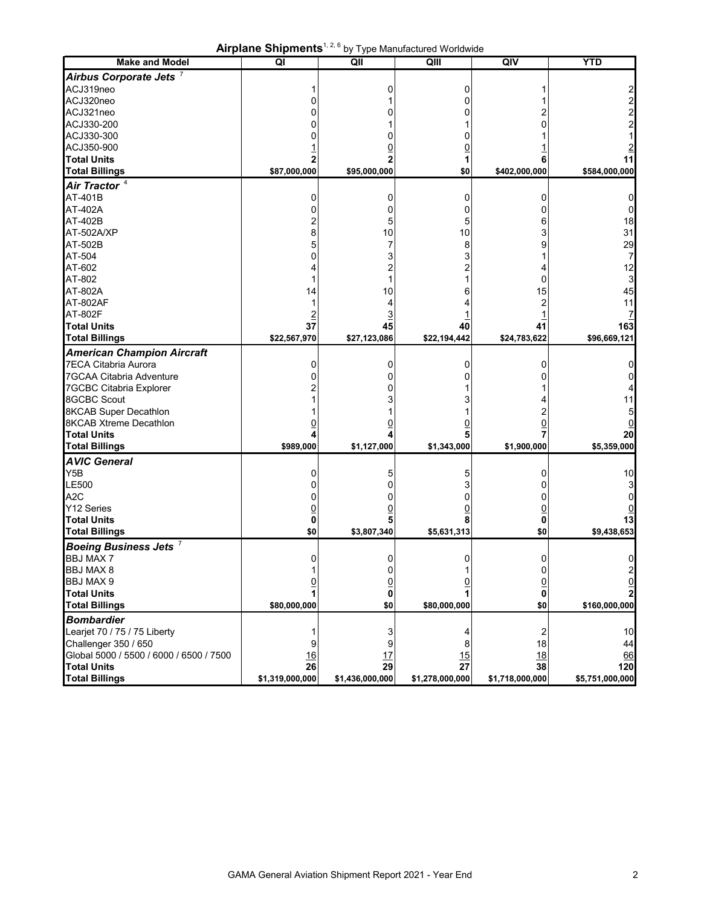|  | <b>Airplane Shipments</b> <sup>1, 2, 6</sup> by Type Manufactured Worldwide |
|--|-----------------------------------------------------------------------------|
|--|-----------------------------------------------------------------------------|

| Airbus Corporate Jets <sup>7</sup><br>ACJ319neo<br>0<br>O<br>2<br>ACJ320neo<br>0<br>ი<br>2<br>ACJ321neo<br>U<br>0<br>2<br>ACJ330-200<br>0<br>ACJ330-300<br>0<br>ACJ350-900<br>$\overline{0}$<br><b>Total Units</b><br>2<br>2<br>1<br>6<br>11<br><b>Total Billings</b><br>\$87,000,000<br>\$95,000,000<br>\$0<br>\$402,000,000<br>\$584,000,000<br>Air Tractor <sup>4</sup><br>AT-401B<br>0<br>0<br>0<br>0<br>AT-402A<br>0<br>0<br>0<br>0<br>AT-402B<br>5<br>18<br>2<br>5<br>6<br>AT-502A/XP<br>10<br>10<br>31<br>8<br>3<br>AT-502B<br>29<br>5<br>8<br>9<br>AT-504<br>3<br>0<br>3<br>7<br>AT-602<br>12<br>AT-802<br>0<br>3<br>45<br>AT-802A<br>10<br>15<br>14<br>6<br>AT-802AF<br>2<br>11<br>4<br><b>AT-802F</b><br>$\overline{3}$<br><b>Total Units</b><br>37<br>45<br>40<br>41<br>163<br><b>Total Billings</b><br>\$22,567,970<br>\$27,123,086<br>\$22,194,442<br>\$24,783,622<br>\$96,669,121<br>0<br>0<br>0<br>0<br>ი<br>0<br>0<br>በ<br>0<br>U<br><b>8GCBC Scout</b><br>3<br>11<br><b>8KCAB Super Decathlon</b><br>2<br>5<br><b>8KCAB Xtreme Decathlon</b><br><u>0</u><br>0<br><u>0</u><br><b>Total Units</b><br>4<br>7<br>20<br><b>Total Billings</b><br>\$989,000<br>\$1,127,000<br>\$1,343,000<br>\$1,900,000<br>\$5,359,000<br>Y5B<br>5<br>0<br>10<br>0<br>5<br>LE500<br>0<br>3<br>በ<br>3<br>ი<br>0<br>0<br>0<br>0<br>0<br>Y12 Series<br><u>0</u><br>0<br>5<br>8<br>13<br>0<br>\$0<br>\$0<br>\$3,807,340<br>\$5,631,313<br>\$9,438,653<br>Boeing Business Jets <sup>7</sup><br>0<br>0<br>0<br>0<br>0<br><b>BBJ MAX 8</b><br>0<br>0<br>2<br>1<br>1<br>0<br><u>0</u><br>$\overline{0}$<br><u>0</u><br><u>0</u><br><b>Total Units</b><br>1<br>1<br>0<br>0<br><b>Total Billings</b><br>\$80,000,000<br>\$0<br>\$80,000,000<br>\$0<br>\$160,000,000<br><b>Bombardier</b><br>Learjet 70 / 75 / 75 Liberty<br>$\overline{c}$<br>3<br>10<br>4<br>Challenger 350 / 650<br>9<br>18<br>44<br>9<br>8<br>Global 5000 / 5500 / 6000 / 6500 / 7500<br>17<br>15<br>18<br><u>16</u><br>66<br>29<br>27<br>38<br><b>Total Units</b><br>26<br>120 | <b>Make and Model</b>             | All plate Sulphletits<br>QI | QII             | by Type Manufactured worldwide<br>QIII | QIV             | <b>YTD</b>      |
|--------------------------------------------------------------------------------------------------------------------------------------------------------------------------------------------------------------------------------------------------------------------------------------------------------------------------------------------------------------------------------------------------------------------------------------------------------------------------------------------------------------------------------------------------------------------------------------------------------------------------------------------------------------------------------------------------------------------------------------------------------------------------------------------------------------------------------------------------------------------------------------------------------------------------------------------------------------------------------------------------------------------------------------------------------------------------------------------------------------------------------------------------------------------------------------------------------------------------------------------------------------------------------------------------------------------------------------------------------------------------------------------------------------------------------------------------------------------------------------------------------------------------------------------------------------------------------------------------------------------------------------------------------------------------------------------------------------------------------------------------------------------------------------------------------------------------------------------------------------------------------------------------------------------------------------------------------------------------------------------------------------------------------------|-----------------------------------|-----------------------------|-----------------|----------------------------------------|-----------------|-----------------|
|                                                                                                                                                                                                                                                                                                                                                                                                                                                                                                                                                                                                                                                                                                                                                                                                                                                                                                                                                                                                                                                                                                                                                                                                                                                                                                                                                                                                                                                                                                                                                                                                                                                                                                                                                                                                                                                                                                                                                                                                                                      |                                   |                             |                 |                                        |                 |                 |
|                                                                                                                                                                                                                                                                                                                                                                                                                                                                                                                                                                                                                                                                                                                                                                                                                                                                                                                                                                                                                                                                                                                                                                                                                                                                                                                                                                                                                                                                                                                                                                                                                                                                                                                                                                                                                                                                                                                                                                                                                                      |                                   |                             |                 |                                        |                 |                 |
|                                                                                                                                                                                                                                                                                                                                                                                                                                                                                                                                                                                                                                                                                                                                                                                                                                                                                                                                                                                                                                                                                                                                                                                                                                                                                                                                                                                                                                                                                                                                                                                                                                                                                                                                                                                                                                                                                                                                                                                                                                      |                                   |                             |                 |                                        |                 |                 |
|                                                                                                                                                                                                                                                                                                                                                                                                                                                                                                                                                                                                                                                                                                                                                                                                                                                                                                                                                                                                                                                                                                                                                                                                                                                                                                                                                                                                                                                                                                                                                                                                                                                                                                                                                                                                                                                                                                                                                                                                                                      |                                   |                             |                 |                                        |                 |                 |
|                                                                                                                                                                                                                                                                                                                                                                                                                                                                                                                                                                                                                                                                                                                                                                                                                                                                                                                                                                                                                                                                                                                                                                                                                                                                                                                                                                                                                                                                                                                                                                                                                                                                                                                                                                                                                                                                                                                                                                                                                                      |                                   |                             |                 |                                        |                 |                 |
|                                                                                                                                                                                                                                                                                                                                                                                                                                                                                                                                                                                                                                                                                                                                                                                                                                                                                                                                                                                                                                                                                                                                                                                                                                                                                                                                                                                                                                                                                                                                                                                                                                                                                                                                                                                                                                                                                                                                                                                                                                      |                                   |                             |                 |                                        |                 |                 |
|                                                                                                                                                                                                                                                                                                                                                                                                                                                                                                                                                                                                                                                                                                                                                                                                                                                                                                                                                                                                                                                                                                                                                                                                                                                                                                                                                                                                                                                                                                                                                                                                                                                                                                                                                                                                                                                                                                                                                                                                                                      |                                   |                             |                 |                                        |                 |                 |
|                                                                                                                                                                                                                                                                                                                                                                                                                                                                                                                                                                                                                                                                                                                                                                                                                                                                                                                                                                                                                                                                                                                                                                                                                                                                                                                                                                                                                                                                                                                                                                                                                                                                                                                                                                                                                                                                                                                                                                                                                                      |                                   |                             |                 |                                        |                 |                 |
|                                                                                                                                                                                                                                                                                                                                                                                                                                                                                                                                                                                                                                                                                                                                                                                                                                                                                                                                                                                                                                                                                                                                                                                                                                                                                                                                                                                                                                                                                                                                                                                                                                                                                                                                                                                                                                                                                                                                                                                                                                      |                                   |                             |                 |                                        |                 |                 |
|                                                                                                                                                                                                                                                                                                                                                                                                                                                                                                                                                                                                                                                                                                                                                                                                                                                                                                                                                                                                                                                                                                                                                                                                                                                                                                                                                                                                                                                                                                                                                                                                                                                                                                                                                                                                                                                                                                                                                                                                                                      |                                   |                             |                 |                                        |                 |                 |
|                                                                                                                                                                                                                                                                                                                                                                                                                                                                                                                                                                                                                                                                                                                                                                                                                                                                                                                                                                                                                                                                                                                                                                                                                                                                                                                                                                                                                                                                                                                                                                                                                                                                                                                                                                                                                                                                                                                                                                                                                                      |                                   |                             |                 |                                        |                 |                 |
|                                                                                                                                                                                                                                                                                                                                                                                                                                                                                                                                                                                                                                                                                                                                                                                                                                                                                                                                                                                                                                                                                                                                                                                                                                                                                                                                                                                                                                                                                                                                                                                                                                                                                                                                                                                                                                                                                                                                                                                                                                      |                                   |                             |                 |                                        |                 |                 |
|                                                                                                                                                                                                                                                                                                                                                                                                                                                                                                                                                                                                                                                                                                                                                                                                                                                                                                                                                                                                                                                                                                                                                                                                                                                                                                                                                                                                                                                                                                                                                                                                                                                                                                                                                                                                                                                                                                                                                                                                                                      |                                   |                             |                 |                                        |                 |                 |
|                                                                                                                                                                                                                                                                                                                                                                                                                                                                                                                                                                                                                                                                                                                                                                                                                                                                                                                                                                                                                                                                                                                                                                                                                                                                                                                                                                                                                                                                                                                                                                                                                                                                                                                                                                                                                                                                                                                                                                                                                                      |                                   |                             |                 |                                        |                 |                 |
|                                                                                                                                                                                                                                                                                                                                                                                                                                                                                                                                                                                                                                                                                                                                                                                                                                                                                                                                                                                                                                                                                                                                                                                                                                                                                                                                                                                                                                                                                                                                                                                                                                                                                                                                                                                                                                                                                                                                                                                                                                      |                                   |                             |                 |                                        |                 |                 |
|                                                                                                                                                                                                                                                                                                                                                                                                                                                                                                                                                                                                                                                                                                                                                                                                                                                                                                                                                                                                                                                                                                                                                                                                                                                                                                                                                                                                                                                                                                                                                                                                                                                                                                                                                                                                                                                                                                                                                                                                                                      |                                   |                             |                 |                                        |                 |                 |
|                                                                                                                                                                                                                                                                                                                                                                                                                                                                                                                                                                                                                                                                                                                                                                                                                                                                                                                                                                                                                                                                                                                                                                                                                                                                                                                                                                                                                                                                                                                                                                                                                                                                                                                                                                                                                                                                                                                                                                                                                                      |                                   |                             |                 |                                        |                 |                 |
|                                                                                                                                                                                                                                                                                                                                                                                                                                                                                                                                                                                                                                                                                                                                                                                                                                                                                                                                                                                                                                                                                                                                                                                                                                                                                                                                                                                                                                                                                                                                                                                                                                                                                                                                                                                                                                                                                                                                                                                                                                      |                                   |                             |                 |                                        |                 |                 |
|                                                                                                                                                                                                                                                                                                                                                                                                                                                                                                                                                                                                                                                                                                                                                                                                                                                                                                                                                                                                                                                                                                                                                                                                                                                                                                                                                                                                                                                                                                                                                                                                                                                                                                                                                                                                                                                                                                                                                                                                                                      |                                   |                             |                 |                                        |                 |                 |
|                                                                                                                                                                                                                                                                                                                                                                                                                                                                                                                                                                                                                                                                                                                                                                                                                                                                                                                                                                                                                                                                                                                                                                                                                                                                                                                                                                                                                                                                                                                                                                                                                                                                                                                                                                                                                                                                                                                                                                                                                                      |                                   |                             |                 |                                        |                 |                 |
|                                                                                                                                                                                                                                                                                                                                                                                                                                                                                                                                                                                                                                                                                                                                                                                                                                                                                                                                                                                                                                                                                                                                                                                                                                                                                                                                                                                                                                                                                                                                                                                                                                                                                                                                                                                                                                                                                                                                                                                                                                      |                                   |                             |                 |                                        |                 |                 |
|                                                                                                                                                                                                                                                                                                                                                                                                                                                                                                                                                                                                                                                                                                                                                                                                                                                                                                                                                                                                                                                                                                                                                                                                                                                                                                                                                                                                                                                                                                                                                                                                                                                                                                                                                                                                                                                                                                                                                                                                                                      |                                   |                             |                 |                                        |                 |                 |
|                                                                                                                                                                                                                                                                                                                                                                                                                                                                                                                                                                                                                                                                                                                                                                                                                                                                                                                                                                                                                                                                                                                                                                                                                                                                                                                                                                                                                                                                                                                                                                                                                                                                                                                                                                                                                                                                                                                                                                                                                                      |                                   |                             |                 |                                        |                 |                 |
|                                                                                                                                                                                                                                                                                                                                                                                                                                                                                                                                                                                                                                                                                                                                                                                                                                                                                                                                                                                                                                                                                                                                                                                                                                                                                                                                                                                                                                                                                                                                                                                                                                                                                                                                                                                                                                                                                                                                                                                                                                      |                                   |                             |                 |                                        |                 |                 |
|                                                                                                                                                                                                                                                                                                                                                                                                                                                                                                                                                                                                                                                                                                                                                                                                                                                                                                                                                                                                                                                                                                                                                                                                                                                                                                                                                                                                                                                                                                                                                                                                                                                                                                                                                                                                                                                                                                                                                                                                                                      | <b>American Champion Aircraft</b> |                             |                 |                                        |                 |                 |
|                                                                                                                                                                                                                                                                                                                                                                                                                                                                                                                                                                                                                                                                                                                                                                                                                                                                                                                                                                                                                                                                                                                                                                                                                                                                                                                                                                                                                                                                                                                                                                                                                                                                                                                                                                                                                                                                                                                                                                                                                                      | 7ECA Citabria Aurora              |                             |                 |                                        |                 |                 |
|                                                                                                                                                                                                                                                                                                                                                                                                                                                                                                                                                                                                                                                                                                                                                                                                                                                                                                                                                                                                                                                                                                                                                                                                                                                                                                                                                                                                                                                                                                                                                                                                                                                                                                                                                                                                                                                                                                                                                                                                                                      | 7GCAA Citabria Adventure          |                             |                 |                                        |                 |                 |
|                                                                                                                                                                                                                                                                                                                                                                                                                                                                                                                                                                                                                                                                                                                                                                                                                                                                                                                                                                                                                                                                                                                                                                                                                                                                                                                                                                                                                                                                                                                                                                                                                                                                                                                                                                                                                                                                                                                                                                                                                                      | 7GCBC Citabria Explorer           |                             |                 |                                        |                 |                 |
|                                                                                                                                                                                                                                                                                                                                                                                                                                                                                                                                                                                                                                                                                                                                                                                                                                                                                                                                                                                                                                                                                                                                                                                                                                                                                                                                                                                                                                                                                                                                                                                                                                                                                                                                                                                                                                                                                                                                                                                                                                      |                                   |                             |                 |                                        |                 |                 |
|                                                                                                                                                                                                                                                                                                                                                                                                                                                                                                                                                                                                                                                                                                                                                                                                                                                                                                                                                                                                                                                                                                                                                                                                                                                                                                                                                                                                                                                                                                                                                                                                                                                                                                                                                                                                                                                                                                                                                                                                                                      |                                   |                             |                 |                                        |                 |                 |
|                                                                                                                                                                                                                                                                                                                                                                                                                                                                                                                                                                                                                                                                                                                                                                                                                                                                                                                                                                                                                                                                                                                                                                                                                                                                                                                                                                                                                                                                                                                                                                                                                                                                                                                                                                                                                                                                                                                                                                                                                                      |                                   |                             |                 |                                        |                 |                 |
|                                                                                                                                                                                                                                                                                                                                                                                                                                                                                                                                                                                                                                                                                                                                                                                                                                                                                                                                                                                                                                                                                                                                                                                                                                                                                                                                                                                                                                                                                                                                                                                                                                                                                                                                                                                                                                                                                                                                                                                                                                      |                                   |                             |                 |                                        |                 |                 |
|                                                                                                                                                                                                                                                                                                                                                                                                                                                                                                                                                                                                                                                                                                                                                                                                                                                                                                                                                                                                                                                                                                                                                                                                                                                                                                                                                                                                                                                                                                                                                                                                                                                                                                                                                                                                                                                                                                                                                                                                                                      |                                   |                             |                 |                                        |                 |                 |
|                                                                                                                                                                                                                                                                                                                                                                                                                                                                                                                                                                                                                                                                                                                                                                                                                                                                                                                                                                                                                                                                                                                                                                                                                                                                                                                                                                                                                                                                                                                                                                                                                                                                                                                                                                                                                                                                                                                                                                                                                                      | <b>AVIC General</b>               |                             |                 |                                        |                 |                 |
|                                                                                                                                                                                                                                                                                                                                                                                                                                                                                                                                                                                                                                                                                                                                                                                                                                                                                                                                                                                                                                                                                                                                                                                                                                                                                                                                                                                                                                                                                                                                                                                                                                                                                                                                                                                                                                                                                                                                                                                                                                      |                                   |                             |                 |                                        |                 |                 |
|                                                                                                                                                                                                                                                                                                                                                                                                                                                                                                                                                                                                                                                                                                                                                                                                                                                                                                                                                                                                                                                                                                                                                                                                                                                                                                                                                                                                                                                                                                                                                                                                                                                                                                                                                                                                                                                                                                                                                                                                                                      |                                   |                             |                 |                                        |                 |                 |
|                                                                                                                                                                                                                                                                                                                                                                                                                                                                                                                                                                                                                                                                                                                                                                                                                                                                                                                                                                                                                                                                                                                                                                                                                                                                                                                                                                                                                                                                                                                                                                                                                                                                                                                                                                                                                                                                                                                                                                                                                                      | A <sub>2</sub> C                  |                             |                 |                                        |                 |                 |
|                                                                                                                                                                                                                                                                                                                                                                                                                                                                                                                                                                                                                                                                                                                                                                                                                                                                                                                                                                                                                                                                                                                                                                                                                                                                                                                                                                                                                                                                                                                                                                                                                                                                                                                                                                                                                                                                                                                                                                                                                                      |                                   |                             |                 |                                        |                 |                 |
|                                                                                                                                                                                                                                                                                                                                                                                                                                                                                                                                                                                                                                                                                                                                                                                                                                                                                                                                                                                                                                                                                                                                                                                                                                                                                                                                                                                                                                                                                                                                                                                                                                                                                                                                                                                                                                                                                                                                                                                                                                      | <b>Total Units</b>                |                             |                 |                                        |                 |                 |
|                                                                                                                                                                                                                                                                                                                                                                                                                                                                                                                                                                                                                                                                                                                                                                                                                                                                                                                                                                                                                                                                                                                                                                                                                                                                                                                                                                                                                                                                                                                                                                                                                                                                                                                                                                                                                                                                                                                                                                                                                                      | <b>Total Billings</b>             |                             |                 |                                        |                 |                 |
|                                                                                                                                                                                                                                                                                                                                                                                                                                                                                                                                                                                                                                                                                                                                                                                                                                                                                                                                                                                                                                                                                                                                                                                                                                                                                                                                                                                                                                                                                                                                                                                                                                                                                                                                                                                                                                                                                                                                                                                                                                      |                                   |                             |                 |                                        |                 |                 |
|                                                                                                                                                                                                                                                                                                                                                                                                                                                                                                                                                                                                                                                                                                                                                                                                                                                                                                                                                                                                                                                                                                                                                                                                                                                                                                                                                                                                                                                                                                                                                                                                                                                                                                                                                                                                                                                                                                                                                                                                                                      | <b>BBJ MAX7</b>                   |                             |                 |                                        |                 |                 |
|                                                                                                                                                                                                                                                                                                                                                                                                                                                                                                                                                                                                                                                                                                                                                                                                                                                                                                                                                                                                                                                                                                                                                                                                                                                                                                                                                                                                                                                                                                                                                                                                                                                                                                                                                                                                                                                                                                                                                                                                                                      |                                   |                             |                 |                                        |                 |                 |
|                                                                                                                                                                                                                                                                                                                                                                                                                                                                                                                                                                                                                                                                                                                                                                                                                                                                                                                                                                                                                                                                                                                                                                                                                                                                                                                                                                                                                                                                                                                                                                                                                                                                                                                                                                                                                                                                                                                                                                                                                                      | <b>BBJ MAX 9</b>                  |                             |                 |                                        |                 |                 |
|                                                                                                                                                                                                                                                                                                                                                                                                                                                                                                                                                                                                                                                                                                                                                                                                                                                                                                                                                                                                                                                                                                                                                                                                                                                                                                                                                                                                                                                                                                                                                                                                                                                                                                                                                                                                                                                                                                                                                                                                                                      |                                   |                             |                 |                                        |                 |                 |
|                                                                                                                                                                                                                                                                                                                                                                                                                                                                                                                                                                                                                                                                                                                                                                                                                                                                                                                                                                                                                                                                                                                                                                                                                                                                                                                                                                                                                                                                                                                                                                                                                                                                                                                                                                                                                                                                                                                                                                                                                                      |                                   |                             |                 |                                        |                 |                 |
|                                                                                                                                                                                                                                                                                                                                                                                                                                                                                                                                                                                                                                                                                                                                                                                                                                                                                                                                                                                                                                                                                                                                                                                                                                                                                                                                                                                                                                                                                                                                                                                                                                                                                                                                                                                                                                                                                                                                                                                                                                      |                                   |                             |                 |                                        |                 |                 |
|                                                                                                                                                                                                                                                                                                                                                                                                                                                                                                                                                                                                                                                                                                                                                                                                                                                                                                                                                                                                                                                                                                                                                                                                                                                                                                                                                                                                                                                                                                                                                                                                                                                                                                                                                                                                                                                                                                                                                                                                                                      |                                   |                             |                 |                                        |                 |                 |
|                                                                                                                                                                                                                                                                                                                                                                                                                                                                                                                                                                                                                                                                                                                                                                                                                                                                                                                                                                                                                                                                                                                                                                                                                                                                                                                                                                                                                                                                                                                                                                                                                                                                                                                                                                                                                                                                                                                                                                                                                                      |                                   |                             |                 |                                        |                 |                 |
|                                                                                                                                                                                                                                                                                                                                                                                                                                                                                                                                                                                                                                                                                                                                                                                                                                                                                                                                                                                                                                                                                                                                                                                                                                                                                                                                                                                                                                                                                                                                                                                                                                                                                                                                                                                                                                                                                                                                                                                                                                      |                                   |                             |                 |                                        |                 |                 |
|                                                                                                                                                                                                                                                                                                                                                                                                                                                                                                                                                                                                                                                                                                                                                                                                                                                                                                                                                                                                                                                                                                                                                                                                                                                                                                                                                                                                                                                                                                                                                                                                                                                                                                                                                                                                                                                                                                                                                                                                                                      |                                   |                             |                 |                                        |                 |                 |
|                                                                                                                                                                                                                                                                                                                                                                                                                                                                                                                                                                                                                                                                                                                                                                                                                                                                                                                                                                                                                                                                                                                                                                                                                                                                                                                                                                                                                                                                                                                                                                                                                                                                                                                                                                                                                                                                                                                                                                                                                                      | <b>Total Billings</b>             | \$1,319,000,000             | \$1,436,000,000 | \$1,278,000,000                        | \$1,718,000,000 | \$5,751,000,000 |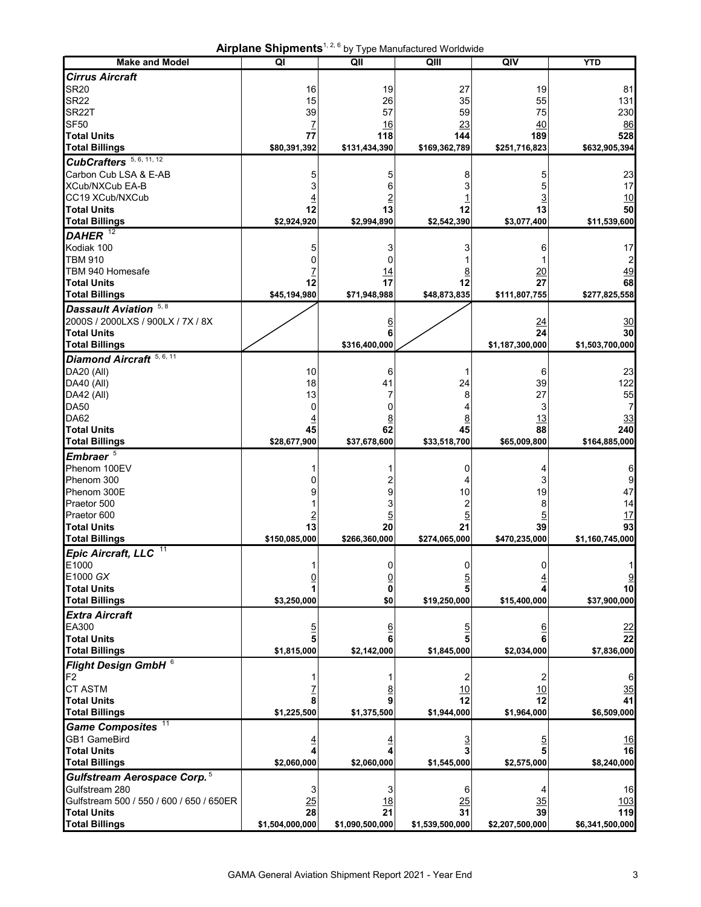**Airplane Shipments**1, 2, 6 by Type Manufactured Worldwide

|                                          | <b>AIrplane Shipments To by Type Manufactured Worldwide</b> |                 |                 |                      |                   |
|------------------------------------------|-------------------------------------------------------------|-----------------|-----------------|----------------------|-------------------|
| <b>Make and Model</b>                    | QI                                                          | QII             | QIII            | QIV                  | <b>YTD</b>        |
| <b>Cirrus Aircraft</b>                   |                                                             |                 |                 |                      |                   |
| <b>SR20</b>                              | 16                                                          | 19              | 27              | 19                   | 81                |
| <b>SR22</b>                              | 15                                                          | 26              | 35              | 55                   | 131               |
| SR <sub>22</sub> T                       | 39                                                          | 57              | 59              | 75                   | 230               |
| SF <sub>50</sub>                         | <u>7</u>                                                    | 16              | 23              | 40                   | 86                |
| <b>Total Units</b>                       | 77                                                          | 118             | 144             | 189                  | 528               |
| <b>Total Billings</b>                    | \$80,391,392                                                | \$131,434,390   | \$169,362,789   | \$251,716,823        | \$632,905,394     |
|                                          |                                                             |                 |                 |                      |                   |
| CubCrafters <sup>5, 6, 11, 12</sup>      |                                                             |                 |                 |                      |                   |
| Carbon Cub LSA & E-AB                    | 5                                                           | 5               | 8               | 5                    | 23                |
| XCub/NXCub EA-B                          | 3                                                           | 6               |                 | 5                    | 17                |
| CC19 XCub/NXCub                          |                                                             |                 |                 |                      | 10                |
| <b>Total Units</b>                       | 12                                                          | 13              | 12              | 13                   | 50                |
| <b>Total Billings</b>                    | \$2,924,920                                                 | \$2,994,890     | \$2,542,390     | \$3,077,400          | \$11,539,600      |
| DAHER $12$                               |                                                             |                 |                 |                      |                   |
| Kodiak 100                               | 5                                                           | 3               |                 |                      | 17                |
| <b>TBM 910</b>                           | ۵                                                           | 0               |                 | 6                    |                   |
| TBM 940 Homesafe                         |                                                             |                 |                 |                      | 2                 |
|                                          |                                                             | 14              | $\overline{8}$  | <u>20</u>            | 49                |
| <b>Total Units</b>                       | 12                                                          | 17              | 12              | 27                   | 68                |
| <b>Total Billings</b>                    | \$45,194,980                                                | \$71,948,988    | \$48,873,835    | \$111,807,755        | \$277,825,558     |
| Dassault Aviation 5, 8                   |                                                             |                 |                 |                      |                   |
| 2000S / 2000LXS / 900LX / 7X / 8X        |                                                             | 6               |                 | <u>24</u>            | $\frac{30}{2}$    |
| <b>Total Units</b>                       |                                                             | 6               |                 | 24                   | 30                |
| <b>Total Billings</b>                    |                                                             | \$316,400,000   |                 | \$1,187,300,000      | \$1,503,700,000   |
|                                          |                                                             |                 |                 |                      |                   |
| Diamond Aircraft <sup>5, 6, 11</sup>     |                                                             |                 |                 |                      |                   |
| DA20 (All)                               | 10                                                          | 6               | 1               | 6                    | 23                |
| <b>DA40 (All)</b>                        | 18                                                          | 41              | 24              | 39                   | 122               |
| DA42 (All)                               | 13                                                          | 7               | 8               | 27                   | 55                |
| <b>DA50</b>                              | 0                                                           | 0               | 4               | 3                    | 7                 |
| DA62                                     | <u>4</u>                                                    | <u>8</u>        | <u>8</u>        | 13                   | 33                |
| <b>Total Units</b>                       | 45                                                          | 62              | 45              | 88                   | 240               |
| <b>Total Billings</b>                    | \$28,677,900                                                | \$37,678,600    | \$33,518,700    | \$65,009,800         | \$164,885,000     |
| Embraer <sup>5</sup>                     |                                                             |                 |                 |                      |                   |
| Phenom 100EV                             |                                                             |                 |                 |                      |                   |
|                                          |                                                             |                 | 0               |                      | 6                 |
| Phenom 300                               | 0                                                           | 2               | 4               | 3                    | 9                 |
| Phenom 300E                              | 9                                                           | 9               | 10              | 19                   | 47                |
| Praetor 500                              |                                                             | 3               | 2               | 8                    | 14                |
| Praetor 600                              | $\overline{2}$                                              | $\overline{5}$  | $\overline{5}$  | $\overline{5}$       | <u>17</u>         |
| <b>Total Units</b>                       | 13                                                          | 20              | 21              | 39                   | 93                |
| <b>Total Billings</b>                    | \$150,085,000                                               | \$266.360.000   | \$274,065,000   | \$470,235,000        | \$1,160,745,000   |
| Epic Aircraft, LLC <sup>11</sup>         |                                                             |                 |                 |                      |                   |
| E1000                                    |                                                             | 0               | 0               |                      |                   |
| E1000 GX                                 | 0                                                           | <u>0</u>        | 5               |                      |                   |
| <b>Total Units</b>                       |                                                             | 0               |                 |                      | 10                |
| <b>Total Billings</b>                    | \$3,250,000                                                 | \$0             | \$19,250,000    | \$15,400,000         | \$37,900,000      |
|                                          |                                                             |                 |                 |                      |                   |
| <b>Extra Aircraft</b>                    |                                                             |                 |                 |                      |                   |
| EA300                                    | $\overline{5}$                                              | <u>6</u>        | <u>5</u>        |                      | <u>22</u>         |
| <b>Total Units</b>                       | 5                                                           |                 |                 |                      | 22                |
| <b>Total Billings</b>                    | \$1,815,000                                                 | \$2,142,000     | \$1,845,000     | \$2,034,000          | \$7,836,000       |
| Flight Design GmbH 6                     |                                                             |                 |                 |                      |                   |
| F <sub>2</sub>                           |                                                             |                 | 2               | 2                    | 6                 |
| <b>CT ASTM</b>                           |                                                             |                 | <u>10</u>       | <u>10</u>            |                   |
| <b>Total Units</b>                       | 8                                                           |                 | $\overline{12}$ | $\overline{12}$      | $\frac{35}{41}$   |
|                                          |                                                             |                 |                 |                      |                   |
| <b>Total Billings</b>                    | \$1,225,500                                                 | \$1,375,500     | \$1,944,000     | \$1,964,000          | \$6,509,000       |
| Game Composites <sup>11</sup>            |                                                             |                 |                 |                      |                   |
| GB1 GameBird                             | $\overline{4}$                                              |                 |                 |                      | <u>16</u>         |
| <b>Total Units</b>                       | 4                                                           |                 |                 |                      | 16                |
| <b>Total Billings</b>                    | \$2,060,000                                                 | \$2,060,000     | \$1,545,000     | \$2,575,000          | \$8,240,000       |
| Gulfstream Aerospace Corp. <sup>5</sup>  |                                                             |                 |                 |                      |                   |
| Gulfstream 280                           |                                                             |                 |                 |                      |                   |
| Gulfstream 500 / 550 / 600 / 650 / 650ER | 3                                                           | 3               | 6               |                      | 16                |
|                                          | $\frac{25}{25}$<br>28                                       | <u>18</u><br>21 | 25<br>31        | $\frac{35}{5}$<br>39 | <u>103</u><br>119 |
| <b>Total Units</b>                       |                                                             |                 |                 |                      |                   |
| <b>Total Billings</b>                    | \$1,504,000,000                                             | \$1,090,500,000 | \$1,539,500,000 | \$2,207,500,000      | \$6,341,500,000   |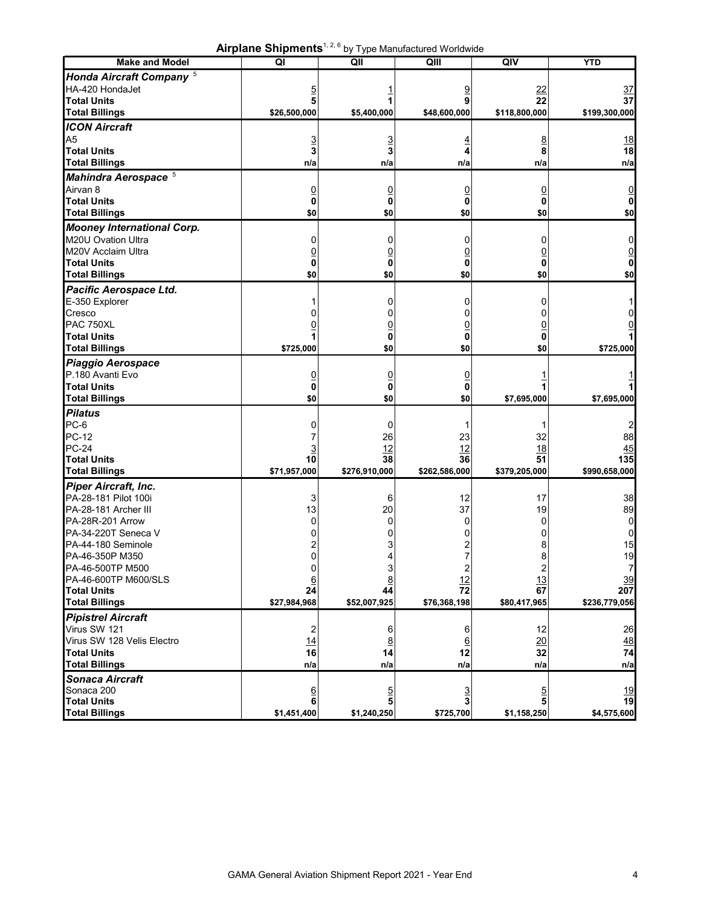**Airplane Shipments**1, 2, 6 by Type Manufactured Worldwide

|                                     | <b>All platte Stilbuletts</b> |                 | by Type Manufactured Wondwide |               |                 |
|-------------------------------------|-------------------------------|-----------------|-------------------------------|---------------|-----------------|
| <b>Make and Model</b>               | QI                            | QII             | QIII                          | QIV           | <b>YTD</b>      |
| Honda Aircraft Company <sup>5</sup> |                               |                 |                               |               |                 |
| HA-420 HondaJet                     |                               |                 |                               | <u>22</u>     | <u>37</u>       |
| <b>Total Units</b>                  |                               |                 | 9                             | 22            | 37              |
| <b>Total Billings</b>               | \$26,500,000                  | \$5,400,000     | \$48,600,000                  | \$118,800,000 | \$199,300,000   |
|                                     |                               |                 |                               |               |                 |
| <b>ICON Aircraft</b>                |                               |                 |                               |               |                 |
| A <sub>5</sub>                      |                               |                 |                               | <u>8</u>      | 18              |
| <b>Total Units</b>                  | 3                             | 3               |                               | 8             | 18              |
| <b>Total Billings</b>               | n/a                           | n/a             | n/a                           | n/a           | n/a             |
| Mahindra Aerospace <sup>5</sup>     |                               |                 |                               |               |                 |
| Airvan 8                            | 0                             | <u>0</u>        |                               |               |                 |
| <b>Total Units</b>                  | 0                             | 0               | 0                             |               |                 |
|                                     |                               |                 |                               |               |                 |
| <b>Total Billings</b>               | \$0                           | \$0             | \$0                           | \$0           | \$0             |
| <b>Mooney International Corp.</b>   |                               |                 |                               |               |                 |
| M20U Ovation Ultra                  | 0                             | 0               |                               |               |                 |
| M20V Acclaim Ultra                  |                               |                 |                               |               |                 |
| <b>Total Units</b>                  | 0                             | 0               | 0                             | 0             |                 |
| <b>Total Billings</b>               | \$0                           | \$0             | \$0                           | \$0           | \$0             |
|                                     |                               |                 |                               |               |                 |
| Pacific Aerospace Ltd.              |                               |                 |                               |               |                 |
| E-350 Explorer                      |                               | 0               |                               |               |                 |
| Cresco                              |                               |                 |                               |               |                 |
| <b>PAC 750XL</b>                    |                               |                 |                               |               |                 |
| <b>Total Units</b>                  |                               | 0               | 0                             |               |                 |
| <b>Total Billings</b>               | \$725,000                     | \$0             | \$0                           | \$0           | \$725,000       |
| Piaggio Aerospace                   |                               |                 |                               |               |                 |
| P.180 Avanti Evo                    |                               |                 |                               |               |                 |
| <b>Total Units</b>                  | 0                             | <u>0</u>        | 0                             |               |                 |
|                                     | 0                             | 0               | 0                             |               |                 |
| <b>Total Billings</b>               | \$0                           | \$0             | \$0                           | \$7,695,000   | \$7,695,000     |
| <b>Pilatus</b>                      |                               |                 |                               |               |                 |
| PC-6                                |                               | 0               |                               |               |                 |
| <b>PC-12</b>                        |                               | 26              | 23                            | 32            | 88              |
| <b>PC-24</b>                        |                               | 12              | 12                            | <u>18</u>     | 45              |
| <b>Total Units</b>                  | 10                            | 38              | 36                            | 51            | 135             |
| <b>Total Billings</b>               | \$71,957,000                  | \$276,910,000   | \$262,586,000                 | \$379,205,000 | \$990,658,000   |
| <b>Piper Aircraft, Inc.</b>         |                               |                 |                               |               |                 |
|                                     |                               |                 |                               |               |                 |
| PA-28-181 Pilot 100i                | 3                             | 6               | 12                            | 17            | 38              |
| PA-28-181 Archer III                | 13                            | 20              | 37                            | 19            | 89              |
| PA-28R-201 Arrow                    |                               | 0               |                               |               | 0               |
| PA-34-220T Seneca V                 |                               |                 |                               |               | 0               |
| PA-44-180 Seminole                  |                               | 3               |                               | 8             | 15              |
| PA-46-350P M350                     | 0                             | 4               | 7                             | 8             | 19              |
| PA-46-500TP M500                    | 0                             | 3               | $\overline{\mathbf{c}}$       | 2             | 7               |
| PA-46-600TP M600/SLS                | $6\phantom{1}6$               | $\underline{8}$ | 12                            | 13            | $\frac{39}{2}$  |
| <b>Total Units</b>                  | 24                            | 44              | $\overline{72}$               | 67            | 207             |
| <b>Total Billings</b>               | \$27,984,968                  | \$52,007,925    | \$76,368,198                  | \$80,417,965  | \$236,779,056   |
| <b>Pipistrel Aircraft</b>           |                               |                 |                               |               |                 |
| Virus SW 121                        |                               |                 | 6                             | 12            |                 |
| Virus SW 128 Velis Electro          | 2                             | 6               |                               |               | 26              |
|                                     | 14                            | $\overline{8}$  | $\underline{6}$               | 20            | 48              |
| <b>Total Units</b>                  | 16                            | 14              | 12                            | 32            | $\overline{74}$ |
| <b>Total Billings</b>               | n/a                           | n/a             | n/a                           | n/a           | n/a             |
| <b>Sonaca Aircraft</b>              |                               |                 |                               |               |                 |
| Sonaca 200                          |                               |                 |                               |               |                 |
| <b>Total Units</b>                  | $\frac{6}{6}$                 | $\frac{5}{5}$   | $\frac{3}{3}$                 | $\frac{5}{5}$ | $\frac{19}{19}$ |
| <b>Total Billings</b>               | \$1,451,400                   | \$1,240,250     | \$725,700                     | \$1,158,250   | \$4,575,600     |
|                                     |                               |                 |                               |               |                 |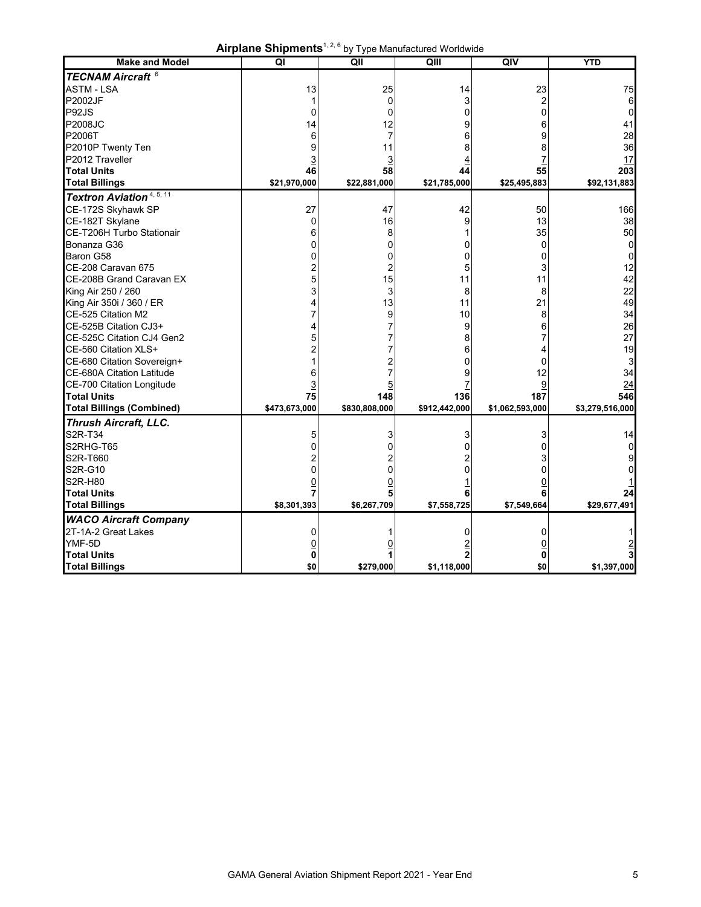|  | Airplane Shipments <sup>1, 2, 6</sup> by Type Manufactured Worldwide |  |
|--|----------------------------------------------------------------------|--|
|--|----------------------------------------------------------------------|--|

| <b>Make and Model</b>                       | $\overline{\mathsf{Q}}$ | QII            | QIII          | QIV             | <b>YTD</b>      |
|---------------------------------------------|-------------------------|----------------|---------------|-----------------|-----------------|
| <b>TECNAM Aircraft 6</b>                    |                         |                |               |                 |                 |
| <b>ASTM - LSA</b>                           | 13                      | 25             | 14            | 23              | 75              |
| <b>P2002JF</b>                              | 1                       | 0              | 3             | $\overline{c}$  | 6               |
| P92JS                                       | 0                       | 0              | 0             | 0               | 0               |
| <b>P2008JC</b>                              | 14                      | 12             | 9             | 6               | 41              |
| P2006T                                      | 6                       | $\overline{7}$ | 6             | 9               | 28              |
| P2010P Twenty Ten                           | 9                       | 11             | 8             | 8               | 36              |
| P2012 Traveller                             | $\overline{3}$          | <u>3</u>       | 4             | 7               | 17              |
| <b>Total Units</b>                          | 46                      | 58             | 44            | 55              | 203             |
| <b>Total Billings</b>                       | \$21,970,000            | \$22,881,000   | \$21,785,000  | \$25,495,883    | \$92,131,883    |
| <b>Textron Aviation</b> <sup>4, 5, 11</sup> |                         |                |               |                 |                 |
| CE-172S Skyhawk SP                          | 27                      | 47             | 42            | 50              | 166             |
| CE-182T Skylane                             | $\Omega$                | 16             | 9             | 13              | 38              |
| CE-T206H Turbo Stationair                   | 6                       | 8              |               | 35              | 50              |
| Bonanza G36                                 | 0                       | 0              | 0             | $\mathbf{0}$    | 0               |
| Baron G58                                   | 0                       | 0              | 0             | 0               | 0               |
| CE-208 Caravan 675                          | 2                       | 2              | 5             | 3               | 12              |
| CE-208B Grand Caravan EX                    | 5                       | 15             | 11            | 11              | 42              |
| King Air 250 / 260                          | 3                       | 3              | 8             | 8               | 22              |
| King Air 350i / 360 / ER                    | 4                       | 13             | 11            | 21              | 49              |
| CE-525 Citation M2                          |                         | 9              | 10            | 8               | 34              |
| CE-525B Citation CJ3+                       | 4                       | 7              | 9             | 6               | 26              |
| CE-525C Citation CJ4 Gen2                   |                         |                | 8             | 7               | 27              |
| CE-560 Citation XLS+                        |                         |                | 6             | 4               | 19              |
| CE-680 Citation Sovereign+                  |                         | 2              | 0             | 0               | 3               |
| <b>CE-680A Citation Latitude</b>            | 6                       | 7              | 9             | 12              | 34              |
| CE-700 Citation Longitude                   | 3                       | 5              |               | 9               | 24              |
| <b>Total Units</b>                          | 75                      | 148            | 136           | 187             | 546             |
| <b>Total Billings (Combined)</b>            | \$473,673,000           | \$830,808,000  | \$912,442,000 | \$1,062,593,000 | \$3,279,516,000 |
| <b>Thrush Aircraft, LLC.</b>                |                         |                |               |                 |                 |
| S2R-T34                                     | 5                       | 3              | 3             | 3               | 14              |
| S2RHG-T65                                   | ი                       | C              | O             | 0               | 0               |
| S2R-T660                                    | 2                       |                |               | 3               | 9               |
| S2R-G10                                     | 0                       | 0              | 0             | 0               | 0               |
| <b>S2R-H80</b>                              | $\overline{0}$          | $\overline{0}$ |               | $\overline{0}$  |                 |
| <b>Total Units</b>                          | 7                       | 5              | 6             | 6               | 24              |
| <b>Total Billings</b>                       | \$8,301,393             | \$6,267,709    | \$7,558,725   | \$7,549,664     | \$29,677,491    |
| <b>WACO Aircraft Company</b>                |                         |                |               |                 |                 |
| 2T-1A-2 Great Lakes                         | 0                       |                | 0             | 0               |                 |
| YMF-5D                                      | 0                       | 0              |               | 0               |                 |
| <b>Total Units</b>                          | 0                       |                | 2             | 0               |                 |
| <b>Total Billings</b>                       | \$0                     | \$279,000      | \$1,118,000   | \$0             | \$1,397,000     |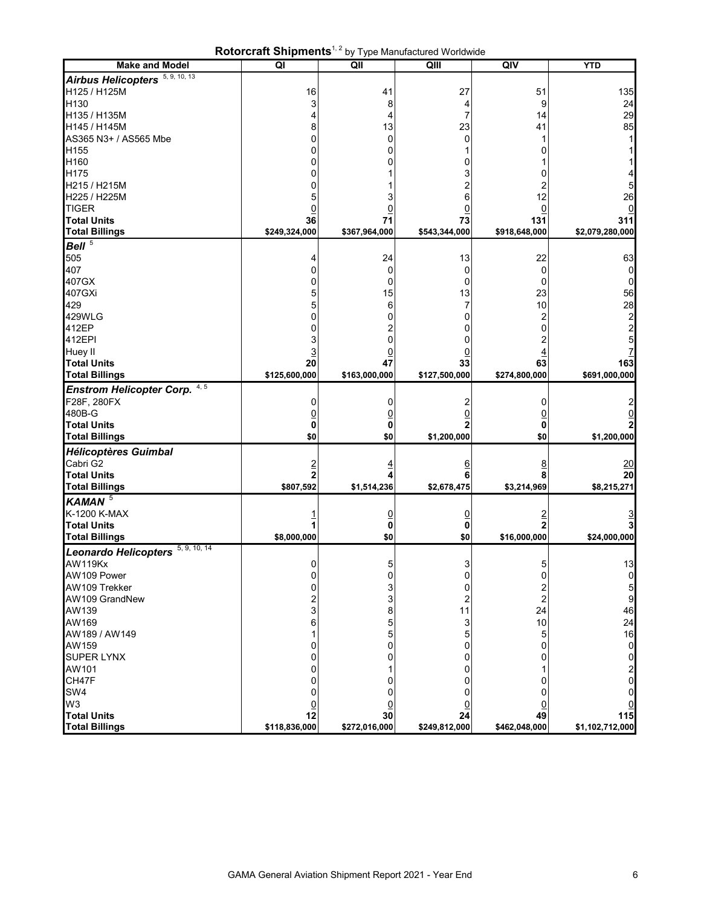|                                      | KULUI UTATLI JITII UTTUU TUU |                         | by Type Manufactured Wondwide |                |                         |
|--------------------------------------|------------------------------|-------------------------|-------------------------------|----------------|-------------------------|
| <b>Make and Model</b>                | QI                           | $\overline{\mathsf{Q}}$ | QIII                          | QIV            | <b>YTD</b>              |
| Airbus Helicopters 5, 9, 10, 13      |                              |                         |                               |                |                         |
| H125 / H125M                         |                              |                         |                               |                |                         |
|                                      | 16                           | 41                      | 27                            | 51             | 135                     |
| H130                                 | 3                            | 8                       | 4                             | 9              | 24                      |
| H135 / H135M                         | 4                            | 4                       | 7                             | 14             | 29                      |
| H145 / H145M                         | 8                            | 13                      | 23                            | 41             | 85                      |
| AS365 N3+ / AS565 Mbe                | 0                            | 0                       | 0                             |                | 1                       |
| H155                                 | ი                            | 0                       |                               | 0              |                         |
| H160                                 | 0                            | 0                       | 0                             |                |                         |
| H175                                 | ი                            |                         | 3                             | 0              |                         |
|                                      |                              |                         |                               |                |                         |
| H215 / H215M                         | O                            |                         |                               |                | 5                       |
| H225 / H225M                         | 5                            | 3                       | 6                             | 12             | 26                      |
| <b>TIGER</b>                         | <u>0</u>                     | $\overline{0}$          | $\overline{0}$                | $\overline{0}$ |                         |
| <b>Total Units</b>                   | 36                           | 71                      | 73                            | 131            | 311                     |
| <b>Total Billings</b>                | \$249,324,000                | \$367,964,000           | \$543,344,000                 | \$918,648,000  | \$2,079,280,000         |
| Bell <sup>5</sup>                    |                              |                         |                               |                |                         |
|                                      |                              |                         |                               |                |                         |
| 505                                  | 4                            | 24                      | 13                            | 22             | 63                      |
| 407                                  | 0                            | 0                       | 0                             | 0              | 0                       |
| 407GX                                | ი                            | 0                       | 0                             | 0              | 0                       |
| 407GXi                               | 5                            | 15                      | 13                            | 23             | 56                      |
| 429                                  | 5                            | 6                       | 7                             | 10             | 28                      |
| 429WLG                               | 0                            | 0                       | 0                             | 2              |                         |
| 412EP                                | 0                            |                         | 0                             | 0              | $\frac{2}{2}$           |
|                                      |                              | 2                       |                               |                |                         |
| 412EPI                               |                              | 0                       | 0                             |                | 5                       |
| Huey II                              | <u>3</u>                     | 0                       | 0                             |                |                         |
| <b>Total Units</b>                   | 20                           | 47                      | 33                            | 63             | 163                     |
| <b>Total Billings</b>                | \$125,600,000                | \$163,000,000           | \$127,500,000                 | \$274,800,000  | \$691,000,000           |
| Enstrom Helicopter Corp. 4, 5        |                              |                         |                               |                |                         |
|                                      |                              |                         |                               |                |                         |
| F28F, 280FX                          | 0                            | 0                       |                               | 0              |                         |
| 480B-G                               |                              | <u>0</u>                | 0                             | 0              |                         |
| <b>Total Units</b>                   | 0                            | 0                       | $\overline{2}$                | 0              |                         |
| <b>Total Billings</b>                | \$0                          | \$0                     | \$1,200,000                   | \$0            | \$1,200,000             |
| <b>Hélicoptères Guimbal</b>          |                              |                         |                               |                |                         |
| Cabri G2                             |                              |                         |                               |                |                         |
|                                      | $\overline{2}$               | $\overline{4}$          | <u>6</u>                      | <u>8</u>       | <u> 20</u>              |
| <b>Total Units</b>                   | $\overline{2}$               | 4                       | 6                             | 8              | 20                      |
| <b>Total Billings</b>                | \$807,592                    | \$1,514,236             | \$2,678,475                   | \$3,214,969    | \$8,215,271             |
| KAMAN <sup>5</sup>                   |                              |                         |                               |                |                         |
| K-1200 K-MAX                         |                              |                         |                               | $\overline{2}$ |                         |
| <b>Total Units</b>                   |                              | $\overline{0}$<br>0     | $\overline{0}$<br>0           |                |                         |
|                                      |                              |                         |                               |                |                         |
| <b>Total Billings</b>                | \$8,000,000                  | \$0                     | \$0                           | \$16,000,000   | \$24,000,000            |
| 5, 9, 10, 14<br>Leonardo Helicopters |                              |                         |                               |                |                         |
| <b>AW119Kx</b>                       | 0                            | 5                       | 3                             | 5              | 13                      |
| AW109 Power                          | 0                            | 0                       | 0                             | 0              | 0                       |
| AW109 Trekker                        | 0                            | 3                       | 0                             |                | 5                       |
|                                      |                              |                         |                               |                |                         |
| AW109 GrandNew                       | 2                            | 3                       | 2                             | 2              | $\boldsymbol{9}$        |
| AW139                                | 3                            | 8                       | 11                            | 24             | 46                      |
| AW169                                | 6                            | 5                       | 3                             | 10             | 24                      |
| AW189 / AW149                        |                              |                         | 5                             | 5              | 16                      |
| AW159                                |                              | O                       | 0                             | 0              | 0                       |
| <b>SUPER LYNX</b>                    | O                            | 0                       | 0                             | 0              | 0                       |
| AW101                                |                              |                         | 0                             |                | $\overline{\mathbf{c}}$ |
| CH47F                                |                              | 0                       | 0                             | 0              | 0                       |
| SW4                                  |                              |                         |                               |                |                         |
|                                      | 0                            | 0                       | 0                             | 0              | 0                       |
| W3                                   | <u>0</u>                     | <u>0</u>                | <u>0</u>                      | <u>0</u>       |                         |
| <b>Total Units</b>                   | 12                           | 30                      | 24                            | 49             | 115                     |
| <b>Total Billings</b>                | \$118,836,000                | \$272,016,000           | \$249,812,000                 | \$462,048,000  | \$1,102,712,000         |